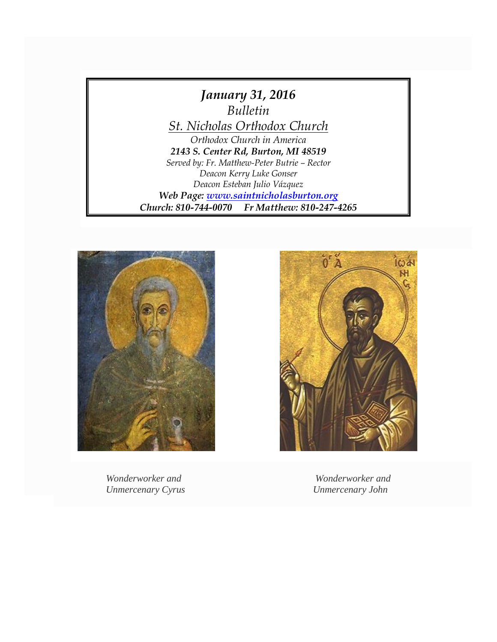



*Wonderworker and Wonderworker and Unmercenary Cyrus Unmercenary John*

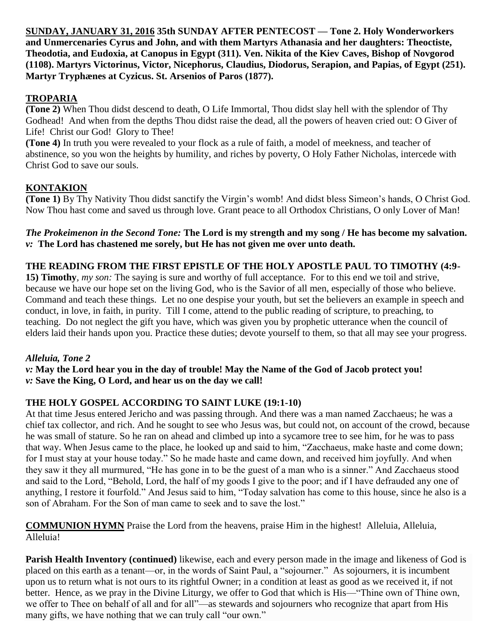**SUNDAY, JANUARY 31, 2016 35th SUNDAY AFTER PENTECOST — Tone 2. Holy Wonderworkers and Unmercenaries Cyrus and John, and with them Martyrs Athanasia and her daughters: Theoctiste, Theodotia, and Eudoxia, at Canopus in Egypt (311). Ven. Nikita of the Kiev Caves, Bishop of Novgorod (1108). Martyrs Victorinus, Victor, Nicephorus, Claudius, Diodorus, Serapion, and Papias, of Egypt (251). Martyr Tryphænes at Cyzicus. St. Arsenios of Paros (1877).**

# **TROPARIA**

**(Tone 2)** When Thou didst descend to death, O Life Immortal, Thou didst slay hell with the splendor of Thy Godhead! And when from the depths Thou didst raise the dead, all the powers of heaven cried out: O Giver of Life! Christ our God! Glory to Thee!

**(Tone 4)** In truth you were revealed to your flock as a rule of faith, a model of meekness, and teacher of abstinence, so you won the heights by humility, and riches by poverty, O Holy Father Nicholas, intercede with Christ God to save our souls.

# **KONTAKION**

**(Tone 1)** By Thy Nativity Thou didst sanctify the Virgin's womb! And didst bless Simeon's hands, O Christ God. Now Thou hast come and saved us through love. Grant peace to all Orthodox Christians, O only Lover of Man!

*The Prokeimenon in the Second Tone:* **The Lord is my strength and my song / He has become my salvation.** *v:* **The Lord has chastened me sorely, but He has not given me over unto death.**

### **THE READING FROM THE FIRST EPISTLE OF THE HOLY APOSTLE PAUL TO TIMOTHY (4:9-**

**15) Timothy***, my son:* The saying is sure and worthy of full acceptance. For to this end we toil and strive, because we have our hope set on the living God, who is the Savior of all men, especially of those who believe. Command and teach these things. Let no one despise your youth, but set the believers an example in speech and conduct, in love, in faith, in purity. Till I come, attend to the public reading of scripture, to preaching, to teaching. Do not neglect the gift you have, which was given you by prophetic utterance when the council of elders laid their hands upon you. Practice these duties; devote yourself to them, so that all may see your progress.

### *Alleluia, Tone 2*

*v:* **May the Lord hear you in the day of trouble! May the Name of the God of Jacob protect you!** *v:* **Save the King, O Lord, and hear us on the day we call!**

## **THE HOLY GOSPEL ACCORDING TO SAINT LUKE (19:1-10)**

At that time Jesus entered Jericho and was passing through. And there was a man named Zacchaeus; he was a chief tax collector, and rich. And he sought to see who Jesus was, but could not, on account of the crowd, because he was small of stature. So he ran on ahead and climbed up into a sycamore tree to see him, for he was to pass that way. When Jesus came to the place, he looked up and said to him, "Zacchaeus, make haste and come down; for I must stay at your house today." So he made haste and came down, and received him joyfully. And when they saw it they all murmured, "He has gone in to be the guest of a man who is a sinner." And Zacchaeus stood and said to the Lord, "Behold, Lord, the half of my goods I give to the poor; and if I have defrauded any one of anything, I restore it fourfold." And Jesus said to him, "Today salvation has come to this house, since he also is a son of Abraham. For the Son of man came to seek and to save the lost."

**COMMUNION HYMN** Praise the Lord from the heavens, praise Him in the highest! Alleluia, Alleluia, Alleluia!

**Parish Health Inventory (continued)** likewise, each and every person made in the image and likeness of God is placed on this earth as a tenant—or, in the words of Saint Paul, a "sojourner." As sojourners, it is incumbent upon us to return what is not ours to its rightful Owner; in a condition at least as good as we received it, if not better. Hence, as we pray in the Divine Liturgy, we offer to God that which is His—"Thine own of Thine own, we offer to Thee on behalf of all and for all"—as stewards and sojourners who recognize that apart from His many gifts, we have nothing that we can truly call "our own."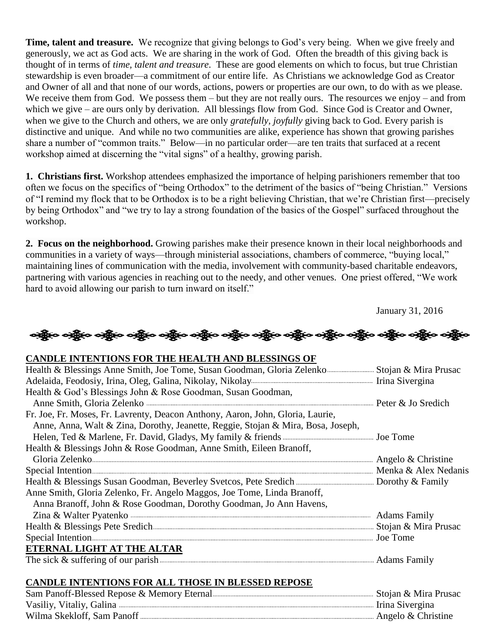**Time, talent and treasure.** We recognize that giving belongs to God's very being. When we give freely and generously, we act as God acts. We are sharing in the work of God. Often the breadth of this giving back is thought of in terms of *time, talent and treasure*. These are good elements on which to focus, but true Christian stewardship is even broader—a commitment of our entire life. As Christians we acknowledge God as Creator and Owner of all and that none of our words, actions, powers or properties are our own, to do with as we please. We receive them from God. We possess them – but they are not really ours. The resources we enjoy – and from which we give – are ours only by derivation. All blessings flow from God. Since God is Creator and Owner, when we give to the Church and others, we are only *gratefully, joyfully* giving back to God. Every parish is distinctive and unique. And while no two communities are alike, experience has shown that growing parishes share a number of "common traits." Below—in no particular order—are ten traits that surfaced at a recent workshop aimed at discerning the "vital signs" of a healthy, growing parish.

**1. Christians first.** Workshop attendees emphasized the importance of helping parishioners remember that too often we focus on the specifics of "being Orthodox" to the detriment of the basics of "being Christian." Versions of "I remind my flock that to be Orthodox is to be a right believing Christian, that we're Christian first—precisely by being Orthodox" and "we try to lay a strong foundation of the basics of the Gospel" surfaced throughout the workshop.

**2. Focus on the neighborhood.** Growing parishes make their presence known in their local neighborhoods and communities in a variety of ways—through ministerial associations, chambers of commerce, "buying local," maintaining lines of communication with the media, involvement with community-based charitable endeavors, partnering with various agencies in reaching out to the needy, and other venues. One priest offered, "We work hard to avoid allowing our parish to turn inward on itself."

January 31, 2016

လူမြို့လေးတို့မှာ ဝတ္ထိမှာ ဝတ္ထိမှာ ဝတ္ထိမှာ ဝတ္ထိမှာ ဝတ္ထိမှာ ဝတ္ထိမှာ ဝတ္ထိမှာ ဝတ္ထိမှာ ဝတ္ထိမှာ ဝတ္ထိမှာ ဝ

#### **CANDLE INTENTIONS FOR THE HEALTH AND BLESSINGS OF**

| Health & Blessings Anne Smith, Joe Tome, Susan Goodman, Gloria Zelenko <b>Election Strategiers</b> Stojan & Mira Prusac |  |
|-------------------------------------------------------------------------------------------------------------------------|--|
|                                                                                                                         |  |
| Health & God's Blessings John & Rose Goodman, Susan Goodman,                                                            |  |
|                                                                                                                         |  |
| Fr. Joe, Fr. Moses, Fr. Lavrenty, Deacon Anthony, Aaron, John, Gloria, Laurie,                                          |  |
| Anne, Anna, Walt & Zina, Dorothy, Jeanette, Reggie, Stojan & Mira, Bosa, Joseph,                                        |  |
|                                                                                                                         |  |
| Health & Blessings John & Rose Goodman, Anne Smith, Eileen Branoff,                                                     |  |
| Gloria Zelenko manuscritta e Angelo & Christine<br>Special Intention manuscritti e Menka & Alex Nedanis                 |  |
|                                                                                                                         |  |
|                                                                                                                         |  |
| Anne Smith, Gloria Zelenko, Fr. Angelo Maggos, Joe Tome, Linda Branoff,                                                 |  |
| Anna Branoff, John & Rose Goodman, Dorothy Goodman, Jo Ann Havens,                                                      |  |
|                                                                                                                         |  |
|                                                                                                                         |  |
|                                                                                                                         |  |
| ETERNAL LIGHT AT THE ALTAR                                                                                              |  |
|                                                                                                                         |  |

#### **CANDLE INTENTIONS FOR ALL THOSE IN BLESSED REPOSE**

| Irina Sivergina      |
|----------------------|
| Angelo $&$ Christine |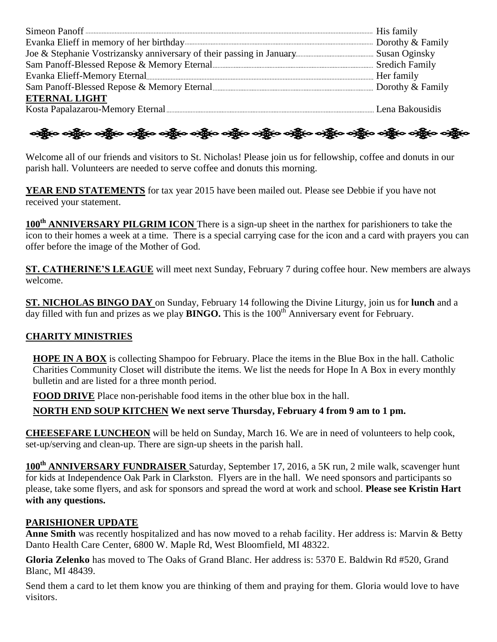| <b>ETERNAL LIGHT</b> |  |
|----------------------|--|
|                      |  |
|                      |  |

ခရွို့လ ခရွို့လ ခရွိမ်း တွေ့ရှိသည့် သန္တို့လ ခရွို့လ ခရွို့လ ခရွို့လ သန္တို့လ သန္တို့လ ခရွို့လ ခရွို့လ ခရွို့လ

Welcome all of our friends and visitors to St. Nicholas! Please join us for fellowship, coffee and donuts in our parish hall. Volunteers are needed to serve coffee and donuts this morning.

**YEAR END STATEMENTS** for tax year 2015 have been mailed out. Please see Debbie if you have not received your statement.

**100th ANNIVERSARY PILGRIM ICON** There is a sign-up sheet in the narthex for parishioners to take the icon to their homes a week at a time. There is a special carrying case for the icon and a card with prayers you can offer before the image of the Mother of God.

**ST. CATHERINE'S LEAGUE** will meet next Sunday, February 7 during coffee hour. New members are always welcome.

**ST. NICHOLAS BINGO DAY** on Sunday, February 14 following the Divine Liturgy, join us for **lunch** and a day filled with fun and prizes as we play **BINGO.** This is the 100<sup>th</sup> Anniversary event for February.

## **CHARITY MINISTRIES**

**HOPE IN A BOX** is collecting Shampoo for February. Place the items in the Blue Box in the hall. Catholic Charities Community Closet will distribute the items. We list the needs for Hope In A Box in every monthly bulletin and are listed for a three month period.

**FOOD DRIVE** Place non-perishable food items in the other blue box in the hall.

### **NORTH END SOUP KITCHEN We next serve Thursday, February 4 from 9 am to 1 pm.**

**CHEESEFARE LUNCHEON** will be held on Sunday, March 16. We are in need of volunteers to help cook, set-up/serving and clean-up. There are sign-up sheets in the parish hall.

**100th ANNIVERSARY FUNDRAISER** Saturday, September 17, 2016, a 5K run, 2 mile walk, scavenger hunt for kids at Independence Oak Park in Clarkston. Flyers are in the hall. We need sponsors and participants so please, take some flyers, and ask for sponsors and spread the word at work and school. **Please see Kristin Hart with any questions.**

### **PARISHIONER UPDATE**

**Anne Smith** was recently hospitalized and has now moved to a rehab facility. Her address is: Marvin & Betty Danto Health Care Center, 6800 W. Maple Rd, West Bloomfield, MI 48322.

**Gloria Zelenko** has moved to The Oaks of Grand Blanc. Her address is: 5370 E. Baldwin Rd #520, Grand Blanc, MI 48439.

Send them a card to let them know you are thinking of them and praying for them. Gloria would love to have visitors.